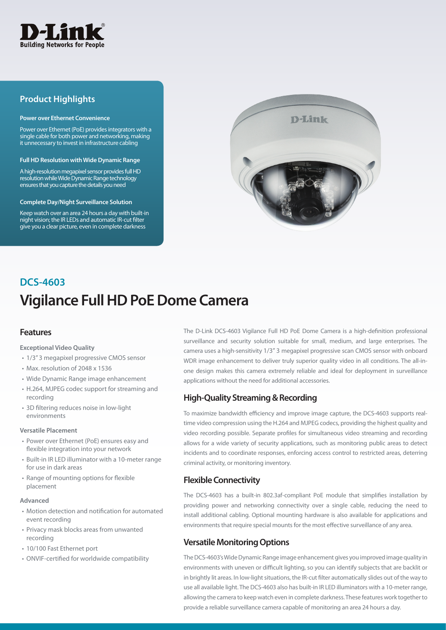

## **Product Highlights**

#### **Power over Ethernet Convenience**

Power over Ethernet (PoE) provides integrators with a single cable for both power and networking, making it unnecessary to invest in infrastructure cabling

#### **Full HD Resolution with Wide Dynamic Range**

A high-resolution megapixel sensor provides full HD resolution while Wide Dynamic Range technology ensures that you capture the details you need

#### **Complete Day/Night Surveillance Solution**

Keep watch over an area 24 hours a day with built-in night vision; the IR LEDs and automatic IR-cut filter give you a clear picture, even in complete darkness



# **Vigilance Full HD PoE Dome Camera DCS-4603**

### **Features**

#### **Exceptional Video Quality**

- 1/3" 3 megapixel progressive CMOS sensor
- Max. resolution of 2048 x 1536
- • Wide Dynamic Range image enhancement
- • H.264, MJPEG codec support for streaming and recording
- 3D filtering reduces noise in low-light environments

#### **Versatile Placement**

- Power over Ethernet (PoE) ensures easy and flexible integration into your network
- Built-in IR LED illuminator with a 10-meter range for use in dark areas
- Range of mounting options for flexible placement

#### **Advanced**

- • Motion detection and notification for automated event recording
- Privacy mask blocks areas from unwanted recording
- 10/100 Fast Ethernet port
- • ONVIF-certified for worldwide compatibility

The D-Link DCS-4603 Vigilance Full HD PoE Dome Camera is a high-definition professional surveillance and security solution suitable for small, medium, and large enterprises. The camera uses a high-sensitivity 1/3" 3 megapixel progressive scan CMOS sensor with onboard WDR image enhancement to deliver truly superior quality video in all conditions. The all-inone design makes this camera extremely reliable and ideal for deployment in surveillance applications without the need for additional accessories.

## **High-Quality Streaming & Recording**

To maximize bandwidth efficiency and improve image capture, the DCS-4603 supports realtime video compression using the H.264 and MJPEG codecs, providing the highest quality and video recording possible. Separate profiles for simultaneous video streaming and recording allows for a wide variety of security applications, such as monitoring public areas to detect incidents and to coordinate responses, enforcing access control to restricted areas, deterring criminal activity, or monitoring inventory.

## **Flexible Connectivity**

The DCS-4603 has a built-in 802.3af-compliant PoE module that simplifies installation by providing power and networking connectivity over a single cable, reducing the need to install additional cabling. Optional mounting hardware is also available for applications and environments that require special mounts for the most effective surveillance of any area.

## **Versatile Monitoring Options**

The DCS-4603's Wide Dynamic Range image enhancement gives you improved image quality in environments with uneven or difficult lighting, so you can identify subjects that are backlit or in brightly lit areas. In low-light situations, the IR-cut filter automatically slides out of the way to use all available light. The DCS-4603 also has built-in IR LED illuminators with a 10-meter range, allowing the camera to keep watch even in complete darkness. These features work together to provide a reliable surveillance camera capable of monitoring an area 24 hours a day.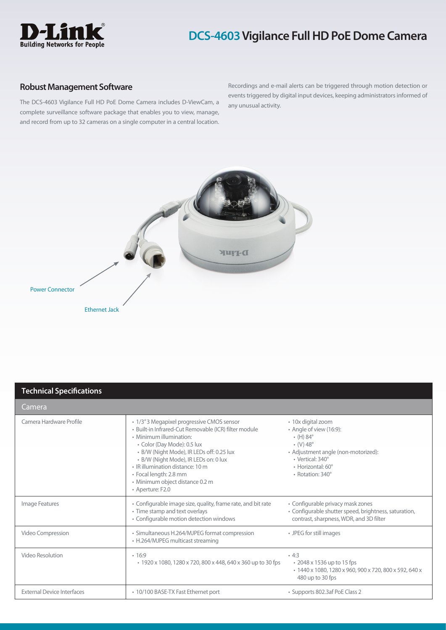

## **DCS-4603 Vigilance Full HD PoE Dome Camera**

### **Robust Management Software**

The DCS-4603 Vigilance Full HD PoE Dome Camera includes D-ViewCam, a complete surveillance software package that enables you to view, manage, and record from up to 32 cameras on a single computer in a central location.

Recordings and e-mail alerts can be triggered through motion detection or events triggered by digital input devices, keeping administrators informed of any unusual activity.



## **Technical Specifications**

| Camera                            |                                                                                                                                                                                                                                                                                                                                                                          |                                                                                                                                                                                                             |  |
|-----------------------------------|--------------------------------------------------------------------------------------------------------------------------------------------------------------------------------------------------------------------------------------------------------------------------------------------------------------------------------------------------------------------------|-------------------------------------------------------------------------------------------------------------------------------------------------------------------------------------------------------------|--|
| Camera Hardware Profile           | • 1/3" 3 Megapixel progressive CMOS sensor<br>· Built-in Infrared-Cut Removable (ICR) filter module<br>• Minimum illumination:<br>• Color (Day Mode): 0.5 lux<br>• B/W (Night Mode), IR LEDs off: 0.25 lux<br>· B/W (Night Mode), IR LEDs on: 0 lux<br>• IR illumination distance: 10 m<br>• Focal length: 2.8 mm<br>· Minimum object distance 0.2 m<br>• Aperture: F2.0 | • 10x digital zoom<br>• Angle of view (16:9):<br>$\cdot$ (H) 84 $^{\circ}$<br>$\cdot$ (V) 48 $^{\circ}$<br>• Adjustment angle (non-motorized):<br>• Vertical: 340°<br>· Horizontal: 60°<br>• Rotation: 340° |  |
| Image Features                    | • Configurable image size, quality, frame rate, and bit rate<br>• Time stamp and text overlays<br>• Configurable motion detection windows                                                                                                                                                                                                                                | • Configurable privacy mask zones<br>· Configurable shutter speed, brightness, saturation,<br>contrast, sharpness, WDR, and 3D filter                                                                       |  |
| Video Compression                 | • Simultaneous H.264/MJPEG format compression<br>• H.264/MJPEG multicast streaming                                                                                                                                                                                                                                                                                       | • JPEG for still images                                                                                                                                                                                     |  |
| Video Resolution                  | .16:9<br>• 1920 x 1080, 1280 x 720, 800 x 448, 640 x 360 up to 30 fps                                                                                                                                                                                                                                                                                                    | $-4:3$<br>• 2048 x 1536 up to 15 fps<br>• 1440 x 1080, 1280 x 960, 900 x 720, 800 x 592, 640 x<br>480 up to 30 fps                                                                                          |  |
| <b>External Device Interfaces</b> | • 10/100 BASE-TX Fast Ethernet port                                                                                                                                                                                                                                                                                                                                      | • Supports 802.3af PoE Class 2                                                                                                                                                                              |  |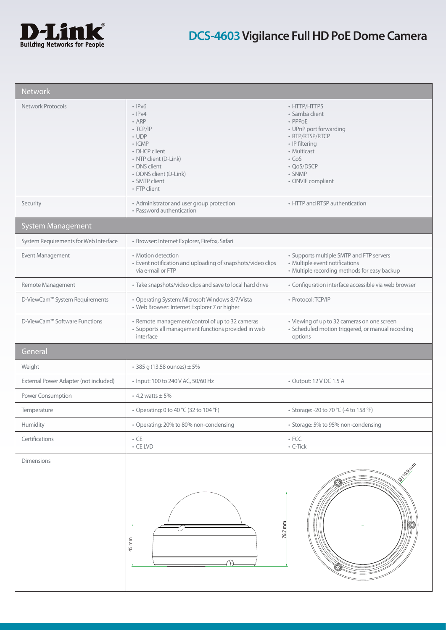

| <b>Network</b>                        |                                                                                                                                                                                                                   |                                                                                                                                                                                     |  |  |  |  |
|---------------------------------------|-------------------------------------------------------------------------------------------------------------------------------------------------------------------------------------------------------------------|-------------------------------------------------------------------------------------------------------------------------------------------------------------------------------------|--|--|--|--|
| <b>Network Protocols</b>              | $\cdot$ IPv6<br>$\cdot$ IPv4<br>$\cdot$ ARP<br>$\cdot$ TCP/IP<br>$\cdot$ UDP<br>$\cdot$ ICMP<br>• DHCP client<br>• NTP client (D-Link)<br>• DNS client<br>· DDNS client (D-Link)<br>· SMTP client<br>• FTP client | • HTTP/HTTPS<br>• Samba client<br>• PPPoE<br>• UPnP port forwarding<br>· RTP/RTSP/RTCP<br>• IP filtering<br>• Multicast<br>$\cdot$ CoS<br>• OoS/DSCP<br>• SNMP<br>• ONVIF compliant |  |  |  |  |
| Security                              | • Administrator and user group protection<br>• Password authentication                                                                                                                                            | • HTTP and RTSP authentication                                                                                                                                                      |  |  |  |  |
| <b>System Management</b>              |                                                                                                                                                                                                                   |                                                                                                                                                                                     |  |  |  |  |
| System Requirements for Web Interface | · Browser: Internet Explorer, Firefox, Safari                                                                                                                                                                     |                                                                                                                                                                                     |  |  |  |  |
| Event Management                      | • Motion detection<br>• Event notification and uploading of snapshots/video clips<br>via e-mail or FTP                                                                                                            | • Supports multiple SMTP and FTP servers<br>• Multiple event notifications<br>• Multiple recording methods for easy backup                                                          |  |  |  |  |
| Remote Management                     | • Take snapshots/video clips and save to local hard drive                                                                                                                                                         | · Configuration interface accessible via web browser                                                                                                                                |  |  |  |  |
| D-ViewCam™ System Requirements        | • Operating System: Microsoft Windows 8/7/Vista<br>• Web Browser: Internet Explorer 7 or higher                                                                                                                   | • Protocol: TCP/IP                                                                                                                                                                  |  |  |  |  |
| D-ViewCam™ Software Functions         | • Remote management/control of up to 32 cameras<br>· Supports all management functions provided in web<br>interface                                                                                               | • Viewing of up to 32 cameras on one screen<br>· Scheduled motion triggered, or manual recording<br>options                                                                         |  |  |  |  |
| General                               |                                                                                                                                                                                                                   |                                                                                                                                                                                     |  |  |  |  |
| Weight                                | • 385 g (13.58 ounces) $\pm$ 5%                                                                                                                                                                                   |                                                                                                                                                                                     |  |  |  |  |
| External Power Adapter (not included) | • Input: 100 to 240 V AC, 50/60 Hz                                                                                                                                                                                | • Output: 12 V DC 1.5 A                                                                                                                                                             |  |  |  |  |
| Power Consumption                     | $\cdot$ 4.2 watts $\pm$ 5%                                                                                                                                                                                        |                                                                                                                                                                                     |  |  |  |  |
| Temperature                           | • Operating: 0 to 40 °C (32 to 104 °F)                                                                                                                                                                            | • Storage: -20 to 70 °C (-4 to 158 °F)                                                                                                                                              |  |  |  |  |
| Humidity                              | • Operating: 20% to 80% non-condensing                                                                                                                                                                            | • Storage: 5% to 95% non-condensing                                                                                                                                                 |  |  |  |  |
| Certifications                        | $\cdot$ CE<br>$\cdot$ CE LVD                                                                                                                                                                                      | $\bullet$ FCC<br>$\cdot$ C-Tick                                                                                                                                                     |  |  |  |  |
| <b>Dimensions</b>                     | $45$ mm                                                                                                                                                                                                           | <b>10.9 mm</b><br>78.7 mm                                                                                                                                                           |  |  |  |  |